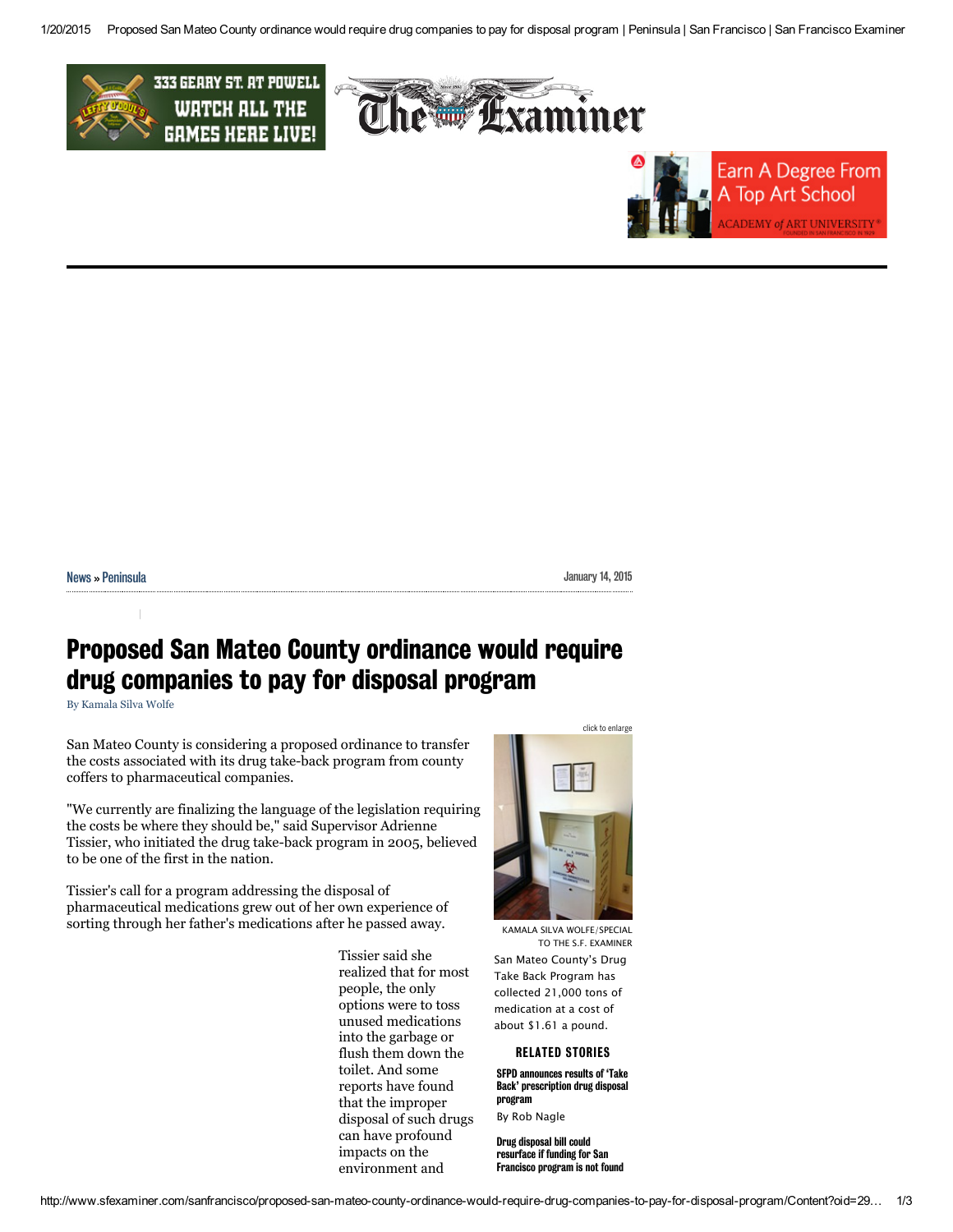



| Nowe, |  |
|-------|--|
|       |  |

## Proposed San Mateo County ordinance would require drug companies to pay for disposal program

By [Kamala](http://www.sfexaminer.com/sanfrancisco/ArticleArchives?author=2915274) Silva Wolfe

San Mateo County is considering a proposed ordinance to transfer the costs associated with its drug take-back program from county coffers to pharmaceutical companies.

"We currently are finalizing the language of the legislation requiring the costs be where they should be," said Supervisor Adrienne Tissier, who initiated the drug take-back program in 2005, believed to be one of the first in the nation.

Tissier's call for a program addressing the disposal of pharmaceutical medications grew out of her own experience of sorting through her father's medications after he passed away.

> Tissier said she realized that for most people, the only options were to toss unused medications into the garbage or flush them down the toilet. And some reports have found that the improper disposal of such drugs can have profound impacts on the environment and



KAMALA SILVA WOLFE/SPECIAL TO THE S.F. EXAMINER San Mateo County's Drug Take Back Program has collected 21,000 tons of medication at a cost of about \$1.61 a pound.

## RELATED STORIES

SFPD announces results of 'Take Back' [prescription](http://www.sfexaminer.com/sanfrancisco/sfpd-announces-results-of-take-back-prescription-drug-disposal-program/Content?oid=2786714) drug disposal program By Rob Nagle

Drug disposal bill could [resurface](http://www.sfexaminer.com/sanfrancisco/drug-disposal-bill-could-resurface-if-funding-for-san-francisco-program-is-not-found/Content?oid=2319753) if funding for San Francisco program is not found